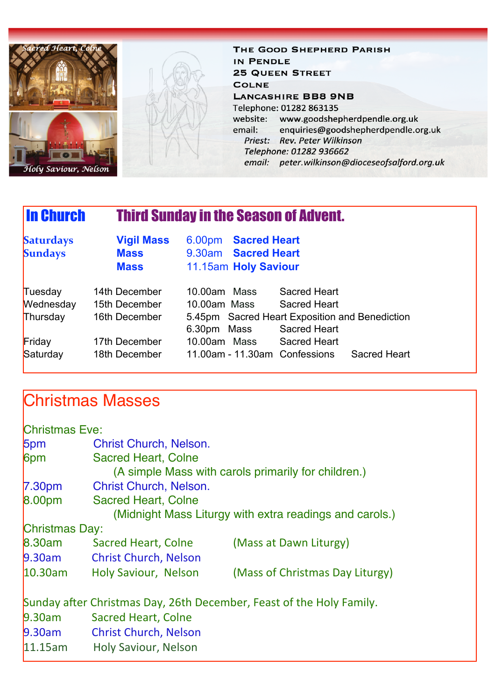

THE GOOD SHEPHERD PARISH IN PENDLE **25 QUEEN STREET COLNE LANCASHIRE BB8 9NB** Telephone: 01282 863135 website: www.goodshepherdpendle.org.uk enquiries@goodshepherdpendle.org.uk email: Priest: Rev. Peter Wilkinson Telephone: 01282 936662 email: peter.wilkinson@dioceseofsalford.org.uk

# In Church Third Sunday in the Season of Advent.

| <b>Saturdays</b><br><b>Sundays</b> | <b>Vigil Mass</b><br><b>Mass</b><br><b>Mass</b> | 6.00pm Sacred Heart<br>9.30am Sacred Heart<br>11.15am Holy Saviour |                     |
|------------------------------------|-------------------------------------------------|--------------------------------------------------------------------|---------------------|
| Tuesday                            | 14th December                                   | 10.00am Mass                                                       | <b>Sacred Heart</b> |
| Wednesday                          | 15th December                                   | 10.00am Mass                                                       | Sacred Heart        |
| Thursday                           | 16th December                                   | 5.45pm Sacred Heart Exposition and Benediction                     |                     |
|                                    |                                                 | 6.30pm Mass                                                        | <b>Sacred Heart</b> |
| Friday                             | 17th December                                   | 10.00am Mass                                                       | <b>Sacred Heart</b> |
| Saturday                           | 18th December                                   | 11.00am - 11.30am Confessions                                      | <b>Sacred Heart</b> |

## Christmas Masses

| <b>Christmas Eve:</b> |                                                                                   |                                                                      |  |  |
|-----------------------|-----------------------------------------------------------------------------------|----------------------------------------------------------------------|--|--|
| 5pm                   | <b>Christ Church, Nelson.</b>                                                     |                                                                      |  |  |
| 6 <sub>pm</sub>       | <b>Sacred Heart, Colne</b><br>(A simple Mass with carols primarily for children.) |                                                                      |  |  |
| 7.30 <sub>pm</sub>    | <b>Christ Church, Nelson.</b>                                                     |                                                                      |  |  |
| 8.00pm                | <b>Sacred Heart, Colne</b>                                                        |                                                                      |  |  |
|                       |                                                                                   | (Midnight Mass Liturgy with extra readings and carols.)              |  |  |
| Christmas Day:        |                                                                                   |                                                                      |  |  |
| 8.30am                | Sacred Heart, Colne                                                               | (Mass at Dawn Liturgy)                                               |  |  |
| $9.30$ am             | <b>Christ Church, Nelson</b>                                                      |                                                                      |  |  |
| 10.30am               | Holy Saviour, Nelson                                                              | (Mass of Christmas Day Liturgy)                                      |  |  |
|                       |                                                                                   | Sunday after Christmas Day, 26th December, Feast of the Holy Family. |  |  |
| 9.30am                | <b>Sacred Heart, Colne</b>                                                        |                                                                      |  |  |
| $9.30$ am             | <b>Christ Church, Nelson</b>                                                      |                                                                      |  |  |
| 11.15am               | <b>Holy Saviour, Nelson</b>                                                       |                                                                      |  |  |